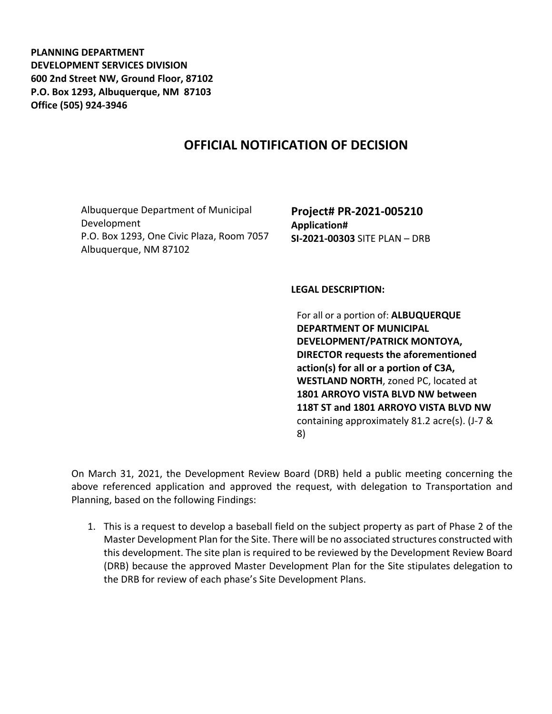**PLANNING DEPARTMENT DEVELOPMENT SERVICES DIVISION 600 2nd Street NW, Ground Floor, 87102 P.O. Box 1293, Albuquerque, NM 87103 Office (505) 924-3946** 

## **OFFICIAL NOTIFICATION OF DECISION**

Albuquerque Department of Municipal Development P.O. Box 1293, One Civic Plaza, Room 7057 Albuquerque, NM 87102

**Project# PR-2021-005210 Application# SI-2021-00303** SITE PLAN – DRB

## **LEGAL DESCRIPTION:**

For all or a portion of: **ALBUQUERQUE DEPARTMENT OF MUNICIPAL DEVELOPMENT/PATRICK MONTOYA, DIRECTOR requests the aforementioned action(s) for all or a portion of C3A, WESTLAND NORTH**, zoned PC, located at **1801 ARROYO VISTA BLVD NW between 118T ST and 1801 ARROYO VISTA BLVD NW** containing approximately 81.2 acre(s). (J-7 & 8)

On March 31, 2021, the Development Review Board (DRB) held a public meeting concerning the above referenced application and approved the request, with delegation to Transportation and Planning, based on the following Findings:

1. This is a request to develop a baseball field on the subject property as part of Phase 2 of the Master Development Plan for the Site. There will be no associated structures constructed with this development. The site plan is required to be reviewed by the Development Review Board (DRB) because the approved Master Development Plan for the Site stipulates delegation to the DRB for review of each phase's Site Development Plans.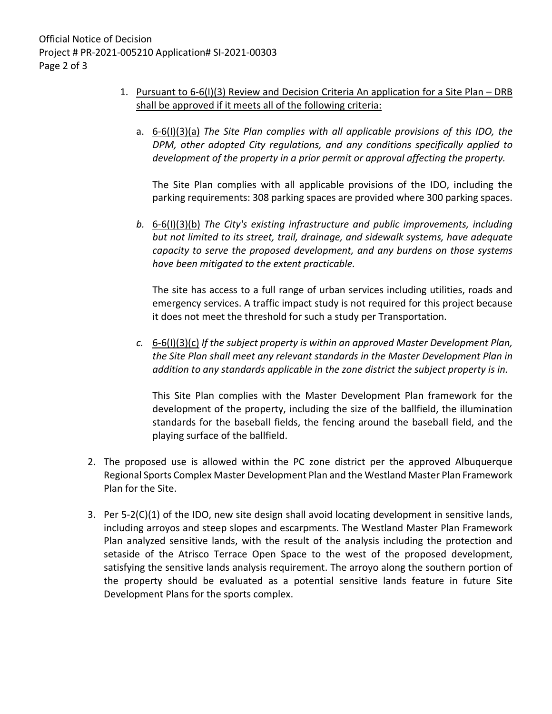- 1. Pursuant to 6-6(I)(3) Review and Decision Criteria An application for a Site Plan DRB shall be approved if it meets all of the following criteria:
	- a. 6-6(I)(3)(a) *The Site Plan complies with all applicable provisions of this IDO, the DPM, other adopted City regulations, and any conditions specifically applied to development of the property in a prior permit or approval affecting the property.*

The Site Plan complies with all applicable provisions of the IDO, including the parking requirements: 308 parking spaces are provided where 300 parking spaces.

*b.* 6-6(I)(3)(b) *The City's existing infrastructure and public improvements, including but not limited to its street, trail, drainage, and sidewalk systems, have adequate capacity to serve the proposed development, and any burdens on those systems have been mitigated to the extent practicable.* 

The site has access to a full range of urban services including utilities, roads and emergency services. A traffic impact study is not required for this project because it does not meet the threshold for such a study per Transportation.

*c.* 6-6(I)(3)(c) *If the subject property is within an approved Master Development Plan, the Site Plan shall meet any relevant standards in the Master Development Plan in addition to any standards applicable in the zone district the subject property is in.*

This Site Plan complies with the Master Development Plan framework for the development of the property, including the size of the ballfield, the illumination standards for the baseball fields, the fencing around the baseball field, and the playing surface of the ballfield.

- 2. The proposed use is allowed within the PC zone district per the approved Albuquerque Regional Sports Complex Master Development Plan and the Westland Master Plan Framework Plan for the Site.
- 3. Per 5-2(C)(1) of the IDO, new site design shall avoid locating development in sensitive lands, including arroyos and steep slopes and escarpments. The Westland Master Plan Framework Plan analyzed sensitive lands, with the result of the analysis including the protection and setaside of the Atrisco Terrace Open Space to the west of the proposed development, satisfying the sensitive lands analysis requirement. The arroyo along the southern portion of the property should be evaluated as a potential sensitive lands feature in future Site Development Plans for the sports complex.